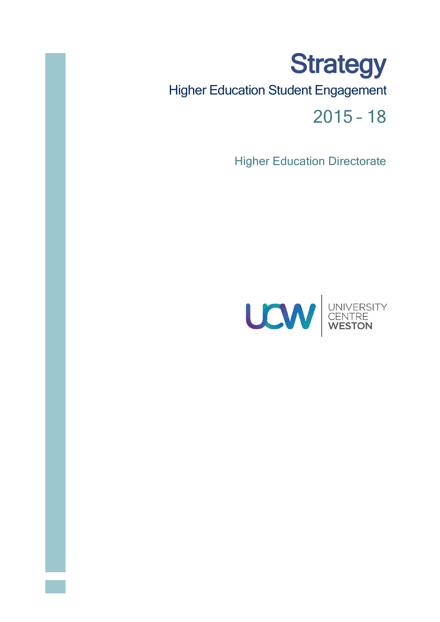# **Strategy** Higher Education Student Engagement 2015 – 18

**Higher Education Directorate** 

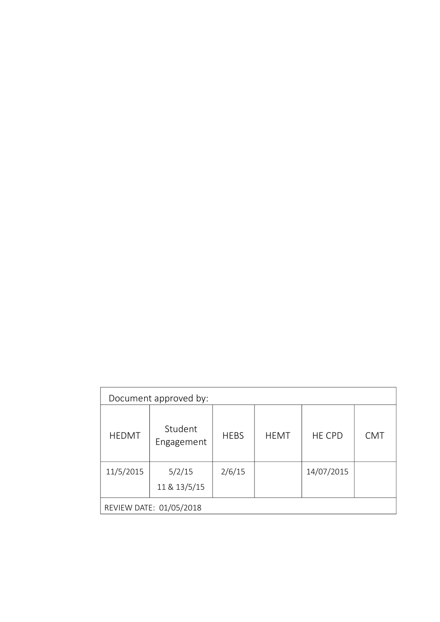| Document approved by:   |                       |             |             |               |            |
|-------------------------|-----------------------|-------------|-------------|---------------|------------|
| <b>HEDMT</b>            | Student<br>Engagement | <b>HEBS</b> | <b>HEMT</b> | <b>HE CPD</b> | <b>CMT</b> |
| 11/5/2015               | 5/2/15                | 2/6/15      |             | 14/07/2015    |            |
|                         | 11 & 13/5/15          |             |             |               |            |
| REVIEW DATE: 01/05/2018 |                       |             |             |               |            |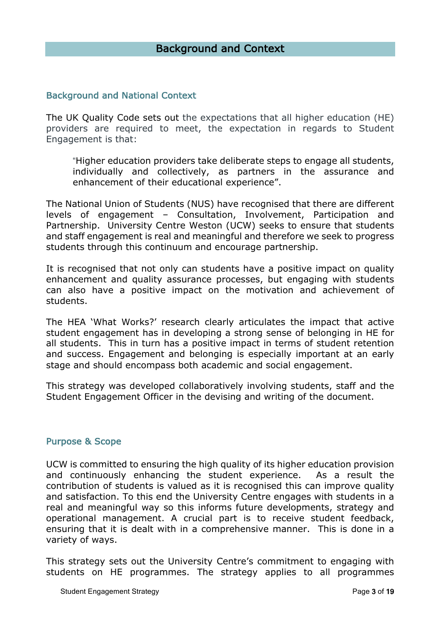# Background and National Context

The UK Quality Code sets out the expectations that all higher education (HE) providers are required to meet, the expectation in regards to Student Engagement is that:

"Higher education providers take deliberate steps to engage all students, individually and collectively, as partners in the assurance and enhancement of their educational experience".

The National Union of Students (NUS) have recognised that there are different levels of engagement – Consultation, Involvement, Participation and Partnership. University Centre Weston (UCW) seeks to ensure that students and staff engagement is real and meaningful and therefore we seek to progress students through this continuum and encourage partnership.

It is recognised that not only can students have a positive impact on quality enhancement and quality assurance processes, but engaging with students can also have a positive impact on the motivation and achievement of students.

The HEA 'What Works?' research clearly articulates the impact that active student engagement has in developing a strong sense of belonging in HE for all students. This in turn has a positive impact in terms of student retention and success. Engagement and belonging is especially important at an early stage and should encompass both academic and social engagement.

This strategy was developed collaboratively involving students, staff and the Student Engagement Officer in the devising and writing of the document.

# Purpose & Scope

UCW is committed to ensuring the high quality of its higher education provision and continuously enhancing the student experience. As a result the contribution of students is valued as it is recognised this can improve quality and satisfaction. To this end the University Centre engages with students in a real and meaningful way so this informs future developments, strategy and operational management. A crucial part is to receive student feedback, ensuring that it is dealt with in a comprehensive manner. This is done in a variety of ways.

This strategy sets out the University Centre's commitment to engaging with students on HE programmes. The strategy applies to all programmes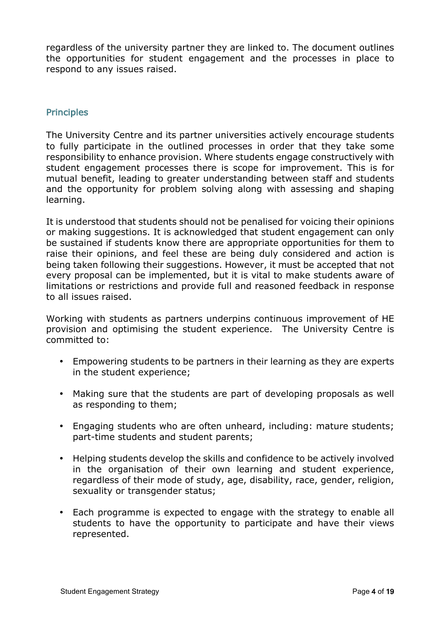regardless of the university partner they are linked to. The document outlines the opportunities for student engagement and the processes in place to respond to any issues raised.

# **Principles**

The University Centre and its partner universities actively encourage students to fully participate in the outlined processes in order that they take some responsibility to enhance provision. Where students engage constructively with student engagement processes there is scope for improvement. This is for mutual benefit, leading to greater understanding between staff and students and the opportunity for problem solving along with assessing and shaping learning.

It is understood that students should not be penalised for voicing their opinions or making suggestions. It is acknowledged that student engagement can only be sustained if students know there are appropriate opportunities for them to raise their opinions, and feel these are being duly considered and action is being taken following their suggestions. However, it must be accepted that not every proposal can be implemented, but it is vital to make students aware of limitations or restrictions and provide full and reasoned feedback in response to all issues raised.

Working with students as partners underpins continuous improvement of HE provision and optimising the student experience. The University Centre is committed to:

- Empowering students to be partners in their learning as they are experts in the student experience;
- Making sure that the students are part of developing proposals as well as responding to them;
- Engaging students who are often unheard, including: mature students; part-time students and student parents;
- Helping students develop the skills and confidence to be actively involved in the organisation of their own learning and student experience, regardless of their mode of study, age, disability, race, gender, religion, sexuality or transgender status;
- Each programme is expected to engage with the strategy to enable all students to have the opportunity to participate and have their views represented.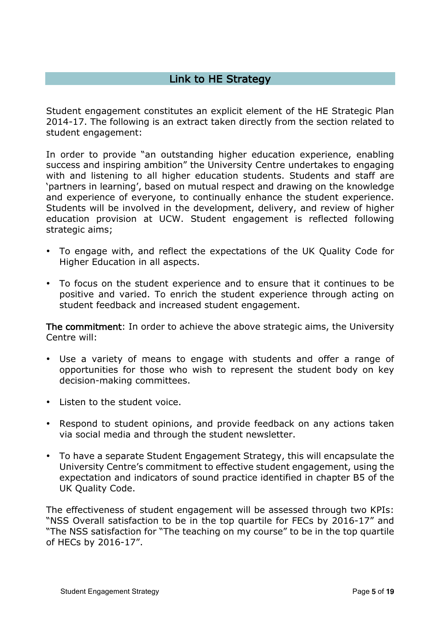# Link to HE Strategy

Student engagement constitutes an explicit element of the HE Strategic Plan 2014-17. The following is an extract taken directly from the section related to student engagement:

In order to provide "an outstanding higher education experience, enabling success and inspiring ambition" the University Centre undertakes to engaging with and listening to all higher education students. Students and staff are 'partners in learning', based on mutual respect and drawing on the knowledge and experience of everyone, to continually enhance the student experience. Students will be involved in the development, delivery, and review of higher education provision at UCW. Student engagement is reflected following strategic aims;

- To engage with, and reflect the expectations of the UK Quality Code for Higher Education in all aspects.
- To focus on the student experience and to ensure that it continues to be positive and varied. To enrich the student experience through acting on student feedback and increased student engagement.

The commitment: In order to achieve the above strategic aims, the University Centre will:

- Use a variety of means to engage with students and offer a range of opportunities for those who wish to represent the student body on key decision-making committees.
- Listen to the student voice.
- Respond to student opinions, and provide feedback on any actions taken via social media and through the student newsletter.
- To have a separate Student Engagement Strategy, this will encapsulate the University Centre's commitment to effective student engagement, using the expectation and indicators of sound practice identified in chapter B5 of the UK Quality Code.

The effectiveness of student engagement will be assessed through two KPIs: "NSS Overall satisfaction to be in the top quartile for FECs by 2016-17" and "The NSS satisfaction for "The teaching on my course" to be in the top quartile of HECs by 2016-17".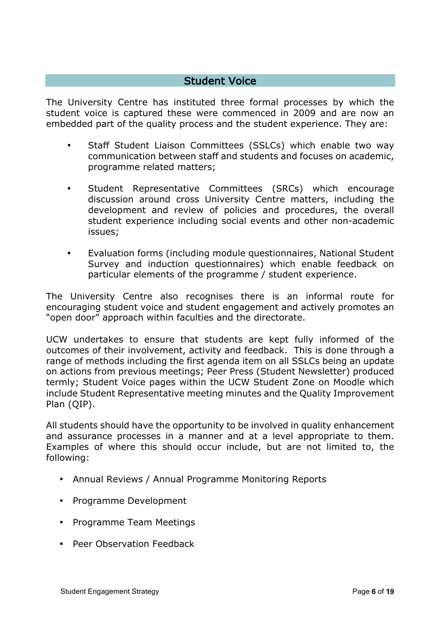# Student Voice

The University Centre has instituted three formal processes by which the student voice is captured these were commenced in 2009 and are now an embedded part of the quality process and the student experience. They are:

- Staff Student Liaison Committees (SSLCs) which enable two way communication between staff and students and focuses on academic, programme related matters;
- Student Representative Committees (SRCs) which encourage discussion around cross University Centre matters, including the development and review of policies and procedures, the overall student experience including social events and other non-academic issues;
- Evaluation forms (including module questionnaires, National Student Survey and induction questionnaires) which enable feedback on particular elements of the programme / student experience.

The University Centre also recognises there is an informal route for encouraging student voice and student engagement and actively promotes an "open door" approach within faculties and the directorate.

UCW undertakes to ensure that students are kept fully informed of the outcomes of their involvement, activity and feedback. This is done through a range of methods including the first agenda item on all SSLCs being an update on actions from previous meetings; Peer Press (Student Newsletter) produced termly; Student Voice pages within the UCW Student Zone on Moodle which include Student Representative meeting minutes and the Quality Improvement Plan (QIP).

All students should have the opportunity to be involved in quality enhancement and assurance processes in a manner and at a level appropriate to them. Examples of where this should occur include, but are not limited to, the following:

- Annual Reviews / Annual Programme Monitoring Reports
- Programme Development
- Programme Team Meetings
- Peer Observation Feedback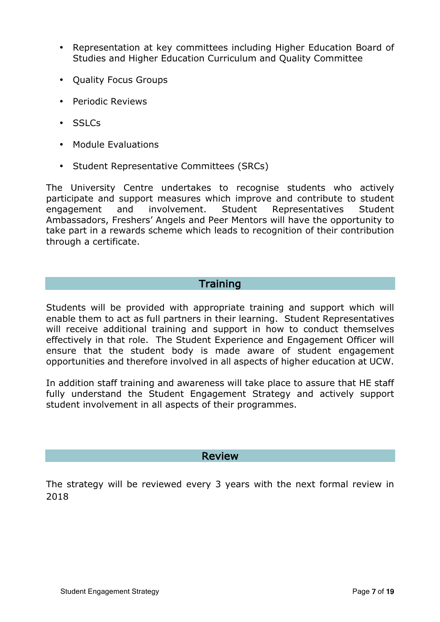- Representation at key committees including Higher Education Board of Studies and Higher Education Curriculum and Quality Committee
- Quality Focus Groups
- Periodic Reviews
- SSLCs
- Module Evaluations
- Student Representative Committees (SRCs)

The University Centre undertakes to recognise students who actively participate and support measures which improve and contribute to student engagement and involvement. Student Representatives Student Ambassadors, Freshers' Angels and Peer Mentors will have the opportunity to take part in a rewards scheme which leads to recognition of their contribution through a certificate.

# **Training**

Students will be provided with appropriate training and support which will enable them to act as full partners in their learning. Student Representatives will receive additional training and support in how to conduct themselves effectively in that role. The Student Experience and Engagement Officer will ensure that the student body is made aware of student engagement opportunities and therefore involved in all aspects of higher education at UCW.

In addition staff training and awareness will take place to assure that HE staff fully understand the Student Engagement Strategy and actively support student involvement in all aspects of their programmes.

# Review

The strategy will be reviewed every 3 years with the next formal review in 2018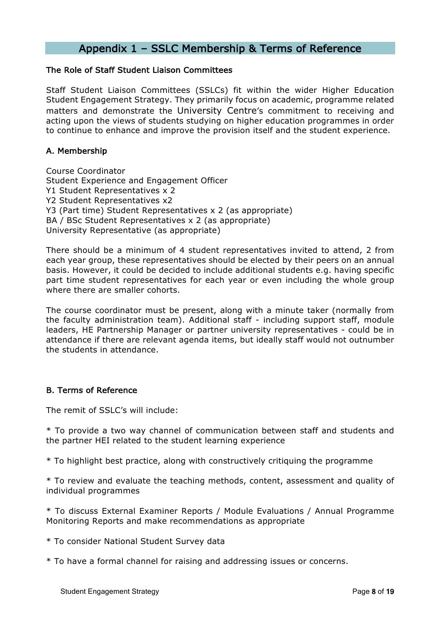# Appendix 1 – SSLC Membership & Terms of Reference

#### The Role of Staff Student Liaison Committees

Staff Student Liaison Committees (SSLCs) fit within the wider Higher Education Student Engagement Strategy. They primarily focus on academic, programme related matters and demonstrate the University Centre's commitment to receiving and acting upon the views of students studying on higher education programmes in order to continue to enhance and improve the provision itself and the student experience.

## A. Membership

Course Coordinator Student Experience and Engagement Officer Y1 Student Representatives x 2 Y2 Student Representatives x2 Y3 (Part time) Student Representatives x 2 (as appropriate) BA / BSc Student Representatives x 2 (as appropriate) University Representative (as appropriate)

There should be a minimum of 4 student representatives invited to attend, 2 from each year group, these representatives should be elected by their peers on an annual basis. However, it could be decided to include additional students e.g. having specific part time student representatives for each year or even including the whole group where there are smaller cohorts.

The course coordinator must be present, along with a minute taker (normally from the faculty administration team). Additional staff - including support staff, module leaders, HE Partnership Manager or partner university representatives - could be in attendance if there are relevant agenda items, but ideally staff would not outnumber the students in attendance.

#### B. Terms of Reference

The remit of SSLC's will include:

\* To provide a two way channel of communication between staff and students and the partner HEI related to the student learning experience

\* To highlight best practice, along with constructively critiquing the programme

\* To review and evaluate the teaching methods, content, assessment and quality of individual programmes

\* To discuss External Examiner Reports / Module Evaluations / Annual Programme Monitoring Reports and make recommendations as appropriate

\* To consider National Student Survey data

\* To have a formal channel for raising and addressing issues or concerns.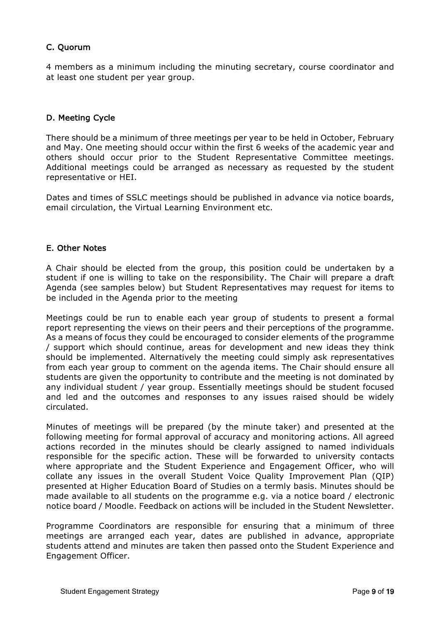# C. Quorum

4 members as a minimum including the minuting secretary, course coordinator and at least one student per year group.

# D. Meeting Cycle

There should be a minimum of three meetings per year to be held in October, February and May. One meeting should occur within the first 6 weeks of the academic year and others should occur prior to the Student Representative Committee meetings. Additional meetings could be arranged as necessary as requested by the student representative or HEI.

Dates and times of SSLC meetings should be published in advance via notice boards, email circulation, the Virtual Learning Environment etc.

# E. Other Notes

A Chair should be elected from the group, this position could be undertaken by a student if one is willing to take on the responsibility. The Chair will prepare a draft Agenda (see samples below) but Student Representatives may request for items to be included in the Agenda prior to the meeting

Meetings could be run to enable each year group of students to present a formal report representing the views on their peers and their perceptions of the programme. As a means of focus they could be encouraged to consider elements of the programme / support which should continue, areas for development and new ideas they think should be implemented. Alternatively the meeting could simply ask representatives from each year group to comment on the agenda items. The Chair should ensure all students are given the opportunity to contribute and the meeting is not dominated by any individual student / year group. Essentially meetings should be student focused and led and the outcomes and responses to any issues raised should be widely circulated.

Minutes of meetings will be prepared (by the minute taker) and presented at the following meeting for formal approval of accuracy and monitoring actions. All agreed actions recorded in the minutes should be clearly assigned to named individuals responsible for the specific action. These will be forwarded to university contacts where appropriate and the Student Experience and Engagement Officer, who will collate any issues in the overall Student Voice Quality Improvement Plan (QIP) presented at Higher Education Board of Studies on a termly basis. Minutes should be made available to all students on the programme e.g. via a notice board / electronic notice board / Moodle. Feedback on actions will be included in the Student Newsletter.

Programme Coordinators are responsible for ensuring that a minimum of three meetings are arranged each year, dates are published in advance, appropriate students attend and minutes are taken then passed onto the Student Experience and Engagement Officer.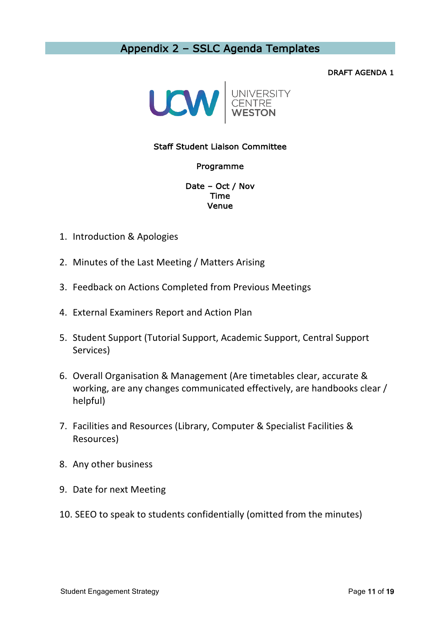# Appendix 2 – SSLC Agenda Templates

#### DRAFT AGENDA 1



## Staff Student Liaison Committee

#### Programme

Date – Oct / Nov Time Venue

- 1. Introduction & Apologies
- 2. Minutes of the Last Meeting / Matters Arising
- 3. Feedback on Actions Completed from Previous Meetings
- 4. External Examiners Report and Action Plan
- 5. Student Support (Tutorial Support, Academic Support, Central Support Services)
- 6. Overall Organisation & Management (Are timetables clear, accurate & working, are any changes communicated effectively, are handbooks clear / helpful)
- 7. Facilities and Resources (Library, Computer & Specialist Facilities & Resources)
- 8. Any other business
- 9. Date for next Meeting
- 10. SEEO to speak to students confidentially (omitted from the minutes)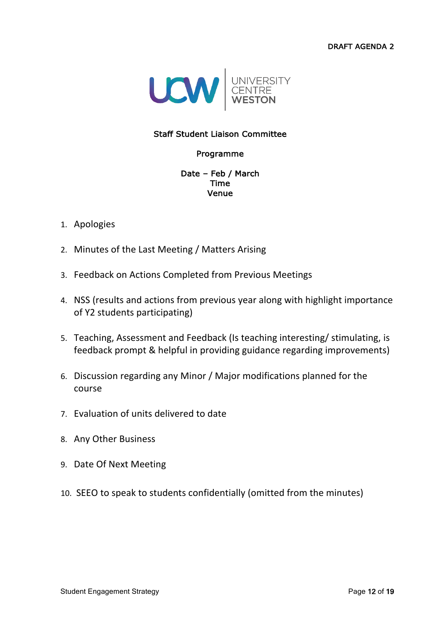**DRAFT AGENDA 2** 



# **Staff Student Liaison Committee**

# Programme

#### Date - Feb / March **Time** Venue

# 1. Apologies

- 2. Minutes of the Last Meeting / Matters Arising
- 3. Feedback on Actions Completed from Previous Meetings
- 4. NSS (results and actions from previous year along with highlight importance of Y2 students participating)
- 5. Teaching, Assessment and Feedback (Is teaching interesting/stimulating, is feedback prompt & helpful in providing guidance regarding improvements)
- 6. Discussion regarding any Minor / Major modifications planned for the course
- 7. Evaluation of units delivered to date
- 8. Any Other Business
- 9. Date Of Next Meeting
- 10. SEEO to speak to students confidentially (omitted from the minutes)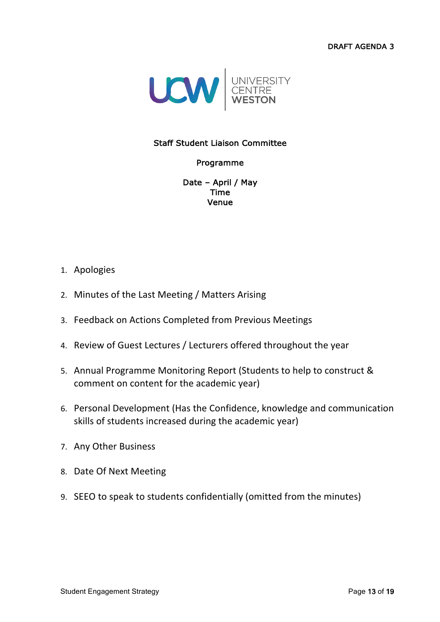DRAFT AGENDA 3



# Staff Student Liaison Committee

#### Programme

Date – April / May Time Venue

### 1. Apologies

- 2. Minutes of the Last Meeting / Matters Arising
- 3. Feedback on Actions Completed from Previous Meetings
- 4. Review of Guest Lectures / Lecturers offered throughout the year
- 5. Annual Programme Monitoring Report (Students to help to construct & comment on content for the academic year)
- 6. Personal Development (Has the Confidence, knowledge and communication skills of students increased during the academic year)
- 7. Any Other Business
- 8. Date Of Next Meeting
- 9. SEEO to speak to students confidentially (omitted from the minutes)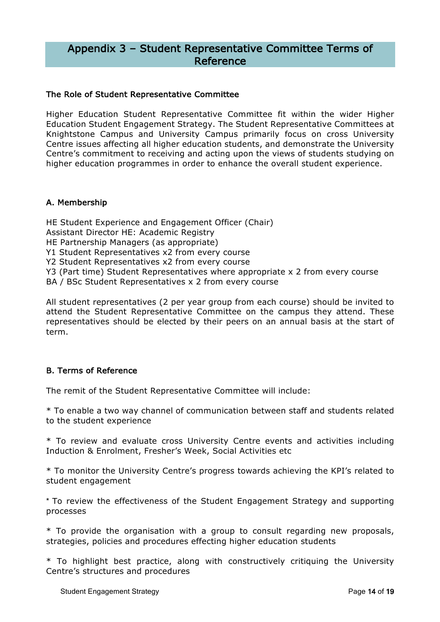# Appendix 3 – Student Representative Committee Terms of Reference

#### The Role of Student Representative Committee

Higher Education Student Representative Committee fit within the wider Higher Education Student Engagement Strategy. The Student Representative Committees at Knightstone Campus and University Campus primarily focus on cross University Centre issues affecting all higher education students, and demonstrate the University Centre's commitment to receiving and acting upon the views of students studying on higher education programmes in order to enhance the overall student experience.

### A. Membership

HE Student Experience and Engagement Officer (Chair) Assistant Director HE: Academic Registry HE Partnership Managers (as appropriate) Y1 Student Representatives x2 from every course Y2 Student Representatives x2 from every course Y3 (Part time) Student Representatives where appropriate x 2 from every course BA / BSc Student Representatives x 2 from every course

All student representatives (2 per year group from each course) should be invited to attend the Student Representative Committee on the campus they attend. These representatives should be elected by their peers on an annual basis at the start of term.

# B. Terms of Reference

The remit of the Student Representative Committee will include:

\* To enable a two way channel of communication between staff and students related to the student experience

\* To review and evaluate cross University Centre events and activities including Induction & Enrolment, Fresher's Week, Social Activities etc

\* To monitor the University Centre's progress towards achieving the KPI's related to student engagement

\* To review the effectiveness of the Student Engagement Strategy and supporting processes

\* To provide the organisation with a group to consult regarding new proposals, strategies, policies and procedures effecting higher education students

\* To highlight best practice, along with constructively critiquing the University Centre's structures and procedures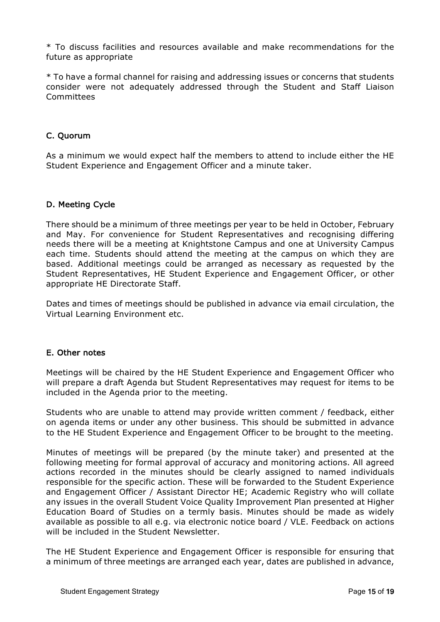\* To discuss facilities and resources available and make recommendations for the future as appropriate

\* To have a formal channel for raising and addressing issues or concerns that students consider were not adequately addressed through the Student and Staff Liaison Committees

## C. Quorum

As a minimum we would expect half the members to attend to include either the HE Student Experience and Engagement Officer and a minute taker.

### D. Meeting Cycle

There should be a minimum of three meetings per year to be held in October, February and May. For convenience for Student Representatives and recognising differing needs there will be a meeting at Knightstone Campus and one at University Campus each time. Students should attend the meeting at the campus on which they are based. Additional meetings could be arranged as necessary as requested by the Student Representatives, HE Student Experience and Engagement Officer, or other appropriate HE Directorate Staff.

Dates and times of meetings should be published in advance via email circulation, the Virtual Learning Environment etc.

#### E. Other notes

Meetings will be chaired by the HE Student Experience and Engagement Officer who will prepare a draft Agenda but Student Representatives may request for items to be included in the Agenda prior to the meeting.

Students who are unable to attend may provide written comment / feedback, either on agenda items or under any other business. This should be submitted in advance to the HE Student Experience and Engagement Officer to be brought to the meeting.

Minutes of meetings will be prepared (by the minute taker) and presented at the following meeting for formal approval of accuracy and monitoring actions. All agreed actions recorded in the minutes should be clearly assigned to named individuals responsible for the specific action. These will be forwarded to the Student Experience and Engagement Officer / Assistant Director HE; Academic Registry who will collate any issues in the overall Student Voice Quality Improvement Plan presented at Higher Education Board of Studies on a termly basis. Minutes should be made as widely available as possible to all e.g. via electronic notice board / VLE. Feedback on actions will be included in the Student Newsletter.

The HE Student Experience and Engagement Officer is responsible for ensuring that a minimum of three meetings are arranged each year, dates are published in advance,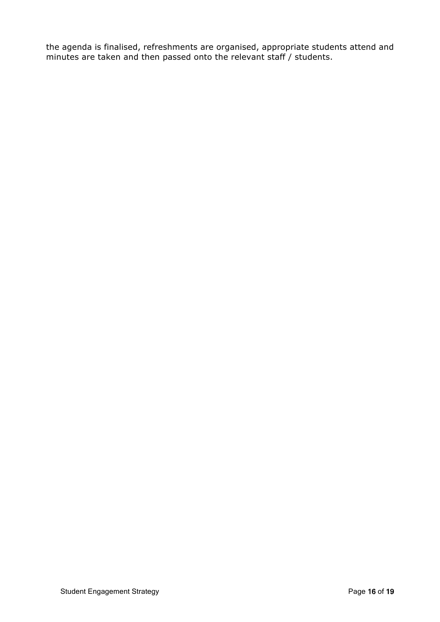the agenda is finalised, refreshments are organised, appropriate students attend and minutes are taken and then passed onto the relevant staff / students.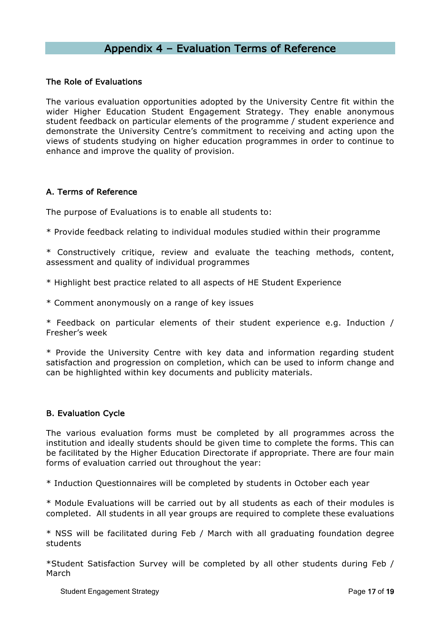# Appendix 4 – Evaluation Terms of Reference

#### The Role of Evaluations

The various evaluation opportunities adopted by the University Centre fit within the wider Higher Education Student Engagement Strategy. They enable anonymous student feedback on particular elements of the programme / student experience and demonstrate the University Centre's commitment to receiving and acting upon the views of students studying on higher education programmes in order to continue to enhance and improve the quality of provision.

# A. Terms of Reference

The purpose of Evaluations is to enable all students to:

\* Provide feedback relating to individual modules studied within their programme

\* Constructively critique, review and evaluate the teaching methods, content, assessment and quality of individual programmes

\* Highlight best practice related to all aspects of HE Student Experience

\* Comment anonymously on a range of key issues

\* Feedback on particular elements of their student experience e.g. Induction / Fresher's week

\* Provide the University Centre with key data and information regarding student satisfaction and progression on completion, which can be used to inform change and can be highlighted within key documents and publicity materials.

# B. Evaluation Cycle

The various evaluation forms must be completed by all programmes across the institution and ideally students should be given time to complete the forms. This can be facilitated by the Higher Education Directorate if appropriate. There are four main forms of evaluation carried out throughout the year:

\* Induction Questionnaires will be completed by students in October each year

\* Module Evaluations will be carried out by all students as each of their modules is completed. All students in all year groups are required to complete these evaluations

\* NSS will be facilitated during Feb / March with all graduating foundation degree students

\*Student Satisfaction Survey will be completed by all other students during Feb / March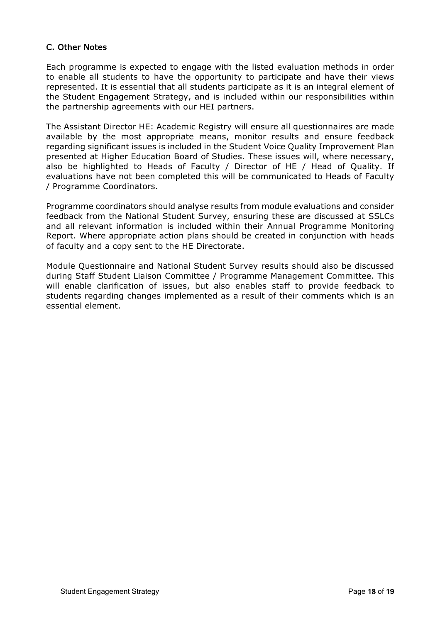# C. Other Notes

Each programme is expected to engage with the listed evaluation methods in order to enable all students to have the opportunity to participate and have their views represented. It is essential that all students participate as it is an integral element of the Student Engagement Strategy, and is included within our responsibilities within the partnership agreements with our HEI partners.

The Assistant Director HE: Academic Registry will ensure all questionnaires are made available by the most appropriate means, monitor results and ensure feedback regarding significant issues is included in the Student Voice Quality Improvement Plan presented at Higher Education Board of Studies. These issues will, where necessary, also be highlighted to Heads of Faculty / Director of HE / Head of Quality. If evaluations have not been completed this will be communicated to Heads of Faculty / Programme Coordinators.

Programme coordinators should analyse results from module evaluations and consider feedback from the National Student Survey, ensuring these are discussed at SSLCs and all relevant information is included within their Annual Programme Monitoring Report. Where appropriate action plans should be created in conjunction with heads of faculty and a copy sent to the HE Directorate.

Module Questionnaire and National Student Survey results should also be discussed during Staff Student Liaison Committee / Programme Management Committee. This will enable clarification of issues, but also enables staff to provide feedback to students regarding changes implemented as a result of their comments which is an essential element.